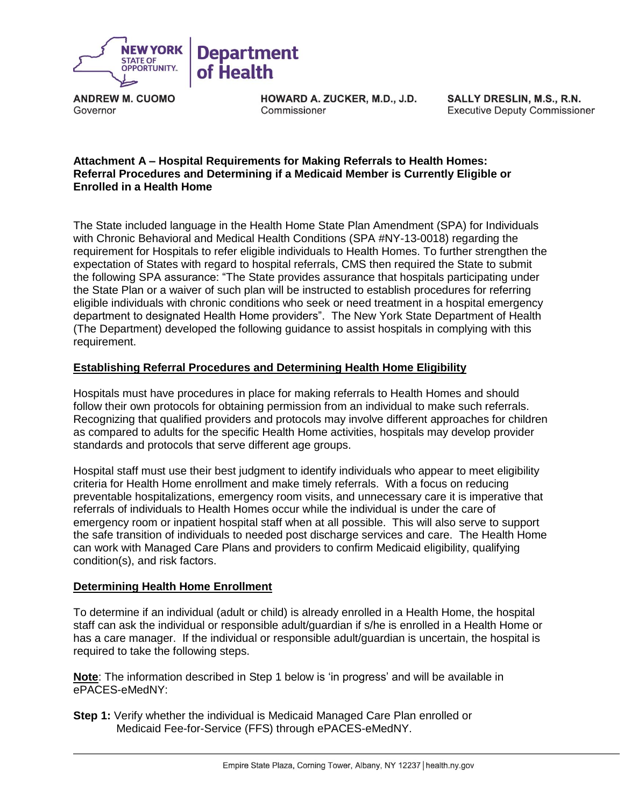

**ANDREW M. CUOMO** Governor

HOWARD A. ZUCKER, M.D., J.D. Commissioner

SALLY DRESLIN, M.S., R.N. **Executive Deputy Commissioner** 

## **Attachment A – Hospital Requirements for Making Referrals to Health Homes: Referral Procedures and Determining if a Medicaid Member is Currently Eligible or Enrolled in a Health Home**

The State included language in the Health Home State Plan Amendment (SPA) for Individuals with Chronic Behavioral and Medical Health Conditions (SPA #NY-13-0018) regarding the requirement for Hospitals to refer eligible individuals to Health Homes. To further strengthen the expectation of States with regard to hospital referrals, CMS then required the State to submit the following SPA assurance: "The State provides assurance that hospitals participating under the State Plan or a waiver of such plan will be instructed to establish procedures for referring eligible individuals with chronic conditions who seek or need treatment in a hospital emergency department to designated Health Home providers". The New York State Department of Health (The Department) developed the following guidance to assist hospitals in complying with this requirement.

## **Establishing Referral Procedures and Determining Health Home Eligibility**

Hospitals must have procedures in place for making referrals to Health Homes and should follow their own protocols for obtaining permission from an individual to make such referrals. Recognizing that qualified providers and protocols may involve different approaches for children as compared to adults for the specific Health Home activities, hospitals may develop provider standards and protocols that serve different age groups.

Hospital staff must use their best judgment to identify individuals who appear to meet eligibility criteria for Health Home enrollment and make timely referrals. With a focus on reducing preventable hospitalizations, emergency room visits, and unnecessary care it is imperative that referrals of individuals to Health Homes occur while the individual is under the care of emergency room or inpatient hospital staff when at all possible. This will also serve to support the safe transition of individuals to needed post discharge services and care. The Health Home can work with Managed Care Plans and providers to confirm Medicaid eligibility, qualifying condition(s), and risk factors.

## **Determining Health Home Enrollment**

To determine if an individual (adult or child) is already enrolled in a Health Home, the hospital staff can ask the individual or responsible adult/guardian if s/he is enrolled in a Health Home or has a care manager. If the individual or responsible adult/guardian is uncertain, the hospital is required to take the following steps.

**Note**: The information described in Step 1 below is 'in progress' and will be available in ePACES-eMedNY:

**Step 1:** Verify whether the individual is Medicaid Managed Care Plan enrolled or Medicaid Fee-for-Service (FFS) through ePACES-eMedNY.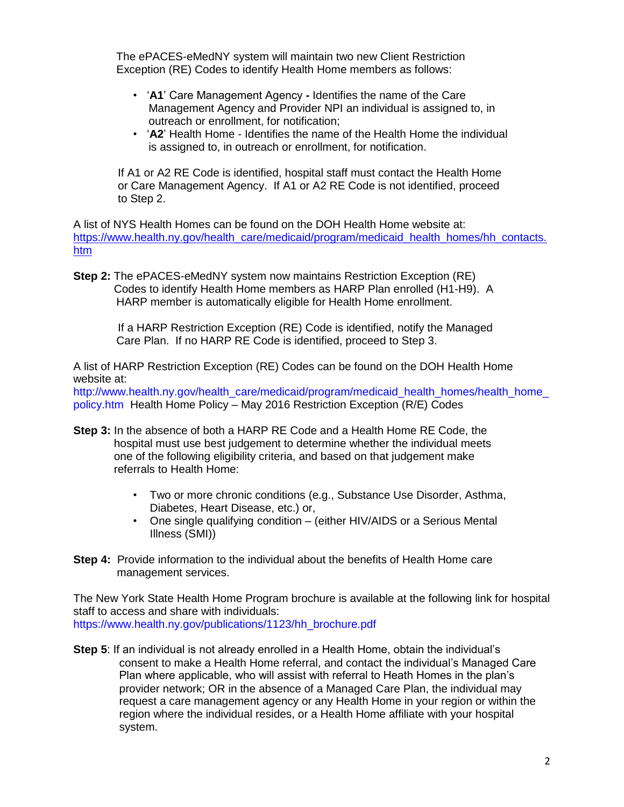The ePACES-eMedNY system will maintain two new Client Restriction Exception (RE) Codes to identify Health Home members as follows:

- '**A1**' Care Management Agency **-** Identifies the name of the Care Management Agency and Provider NPI an individual is assigned to, in outreach or enrollment, for notification;
- '**A2**' Health Home Identifies the name of the Health Home the individual is assigned to, in outreach or enrollment, for notification.

If A1 or A2 RE Code is identified, hospital staff must contact the Health Home or Care Management Agency. If A1 or A2 RE Code is not identified, proceed to Step 2.

A list of NYS Health Homes can be found on the DOH Health Home website at: [https://www.health.ny.gov/health\\_care/medicaid/program/medicaid\\_health\\_homes/hh\\_contacts.](https://www.health.ny.gov/health_care/medicaid/program/medicaid_health_homes/hh_contacts.htm) [htm](https://www.health.ny.gov/health_care/medicaid/program/medicaid_health_homes/hh_contacts.htm)

**Step 2:** The ePACES-eMedNY system now maintains Restriction Exception (RE) Codes to identify Health Home members as HARP Plan enrolled (H1-H9). A HARP member is automatically eligible for Health Home enrollment.

> If a HARP Restriction Exception (RE) Code is identified, notify the Managed Care Plan. If no HARP RE Code is identified, proceed to Step 3.

A list of HARP Restriction Exception (RE) Codes can be found on the DOH Health Home website at:

http://www.health.ny.gov/health\_care/medicaid/program/medicaid\_health\_homes/health\_home [policy.htm](http://www.health.ny.gov/health_care/medicaid/program/medicaid_health_homes/health_home_policy.htm) Health Home Policy – May 2016 Restriction Exception (R/E) Codes

- **Step 3:** In the absence of both a HARP RE Code and a Health Home RE Code, the hospital must use best judgement to determine whether the individual meets one of the following eligibility criteria, and based on that judgement make referrals to Health Home:
	- Two or more chronic conditions (e.g., Substance Use Disorder, Asthma, Diabetes, Heart Disease, etc.) or,
	- One single qualifying condition (either HIV/AIDS or a Serious Mental Illness (SMI))
- **Step 4:** Provide information to the individual about the benefits of Health Home care management services.

The New York State Health Home Program brochure is available at the following link for hospital staff to access and share with individuals: [https://www.health.ny.gov/publications/1123/hh\\_brochure.pdf](https://www.health.ny.gov/publications/1123/hh_brochure.pdf)

**Step 5**: If an individual is not already enrolled in a Health Home, obtain the individual's consent to make a Health Home referral, and contact the individual's Managed Care Plan where applicable, who will assist with referral to Heath Homes in the plan's provider network; OR in the absence of a Managed Care Plan, the individual may request a care management agency or any Health Home in your region or within the region where the individual resides, or a Health Home affiliate with your hospital system.